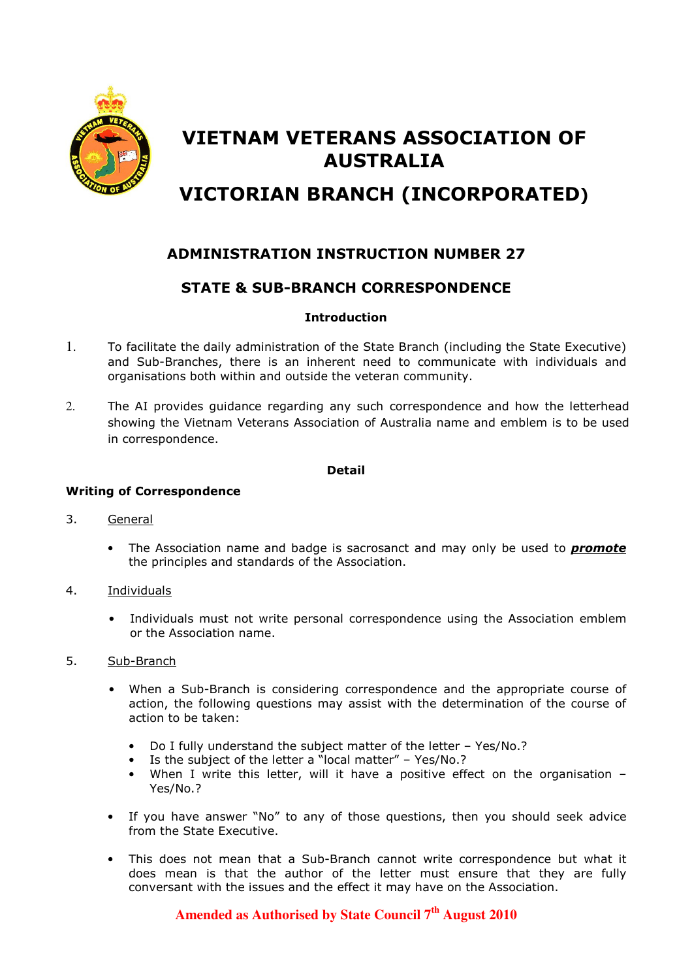

# VIETNAM VETERANS ASSOCIATION OF AUSTRALIA VICTORIAN BRANCH (INCORPORATED)

## ADMINISTRATION INSTRUCTION NUMBER 27

### STATE & SUB-BRANCH CORRESPONDENCE

#### Introduction

- 1. To facilitate the daily administration of the State Branch (including the State Executive) and Sub-Branches, there is an inherent need to communicate with individuals and organisations both within and outside the veteran community.
- 2. The AI provides guidance regarding any such correspondence and how the letterhead showing the Vietnam Veterans Association of Australia name and emblem is to be used in correspondence.

#### Detail

#### Writing of Correspondence

- 3. General
	- The Association name and badge is sacrosanct and may only be used to **promote** the principles and standards of the Association.
- 4. Individuals
	- Individuals must not write personal correspondence using the Association emblem or the Association name.
- 5. Sub-Branch
	- When a Sub-Branch is considering correspondence and the appropriate course of action, the following questions may assist with the determination of the course of action to be taken:
		- Do I fully understand the subject matter of the letter Yes/No.?
		- Is the subject of the letter a "local matter" Yes/No.?
		- When I write this letter, will it have a positive effect on the organisation -Yes/No.?
	- If you have answer "No" to any of those questions, then you should seek advice from the State Executive.
	- This does not mean that a Sub-Branch cannot write correspondence but what it does mean is that the author of the letter must ensure that they are fully conversant with the issues and the effect it may have on the Association.

## **Amended as Authorised by State Council 7th August 2010**